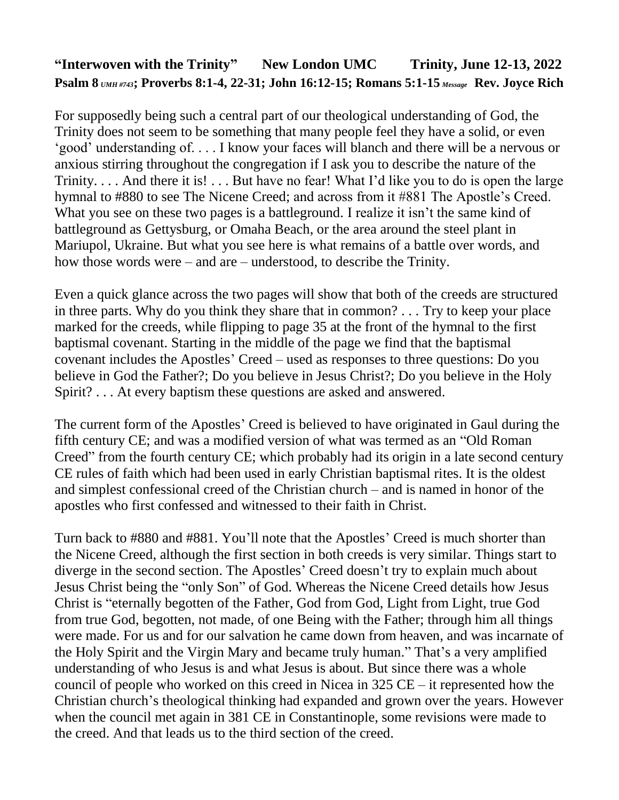## **"Interwoven with the Trinity" New London UMC Trinity, June 12-13, 2022 Psalm 8** *UMH #743***; Proverbs 8:1-4, 22-31; John 16:12-15; Romans 5:1-15** *Message* **Rev. Joyce Rich**

For supposedly being such a central part of our theological understanding of God, the Trinity does not seem to be something that many people feel they have a solid, or even 'good' understanding of. . . . I know your faces will blanch and there will be a nervous or anxious stirring throughout the congregation if I ask you to describe the nature of the Trinity. . . . And there it is! . . . But have no fear! What I'd like you to do is open the large hymnal to #880 to see The Nicene Creed; and across from it #881 The Apostle's Creed. What you see on these two pages is a battleground. I realize it isn't the same kind of battleground as Gettysburg, or Omaha Beach, or the area around the steel plant in Mariupol, Ukraine. But what you see here is what remains of a battle over words, and how those words were – and are – understood, to describe the Trinity.

Even a quick glance across the two pages will show that both of the creeds are structured in three parts. Why do you think they share that in common? . . . Try to keep your place marked for the creeds, while flipping to page 35 at the front of the hymnal to the first baptismal covenant. Starting in the middle of the page we find that the baptismal covenant includes the Apostles' Creed – used as responses to three questions: Do you believe in God the Father?; Do you believe in Jesus Christ?; Do you believe in the Holy Spirit? . . . At every baptism these questions are asked and answered.

The current form of the Apostles' Creed is believed to have originated in Gaul during the fifth century CE; and was a modified version of what was termed as an "Old Roman Creed" from the fourth century CE; which probably had its origin in a late second century CE rules of faith which had been used in early Christian baptismal rites. It is the oldest and simplest confessional creed of the Christian church – and is named in honor of the apostles who first confessed and witnessed to their faith in Christ.

Turn back to #880 and #881. You'll note that the Apostles' Creed is much shorter than the Nicene Creed, although the first section in both creeds is very similar. Things start to diverge in the second section. The Apostles' Creed doesn't try to explain much about Jesus Christ being the "only Son" of God. Whereas the Nicene Creed details how Jesus Christ is "eternally begotten of the Father, God from God, Light from Light, true God from true God, begotten, not made, of one Being with the Father; through him all things were made. For us and for our salvation he came down from heaven, and was incarnate of the Holy Spirit and the Virgin Mary and became truly human." That's a very amplified understanding of who Jesus is and what Jesus is about. But since there was a whole council of people who worked on this creed in Nicea in 325 CE – it represented how the Christian church's theological thinking had expanded and grown over the years. However when the council met again in 381 CE in Constantinople, some revisions were made to the creed. And that leads us to the third section of the creed.